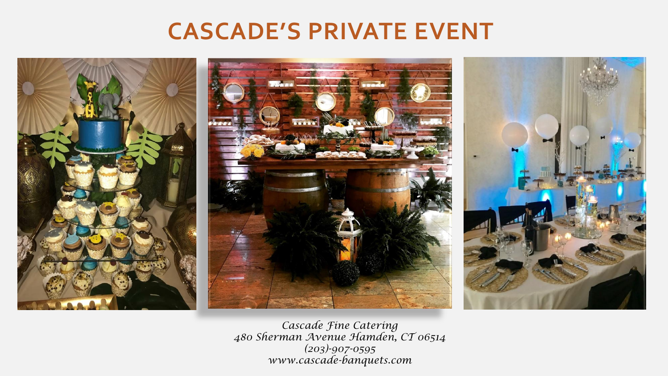# **CASCADE'S PRIVATE EVENT**



*Cascade Fine Catering 480 Sherman Avenue Hamden, CT 06514 (203)-907-0595 www.cascade-banquets.com*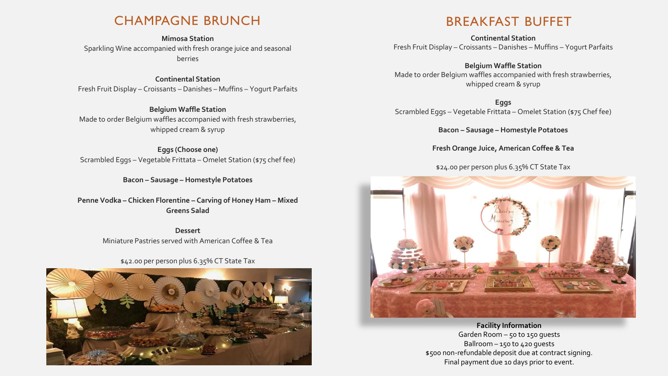#### CHAMPAGNE BRUNCH

**Mimosa Station** Sparkling Wine accompanied with fresh orange juice and seasonal berries

**Continental Station** Fresh Fruit Display – Croissants – Danishes – Muffins – Yogurt Parfaits

**Belgium Waffle Station** Made to order Belgium waffles accompanied with fresh strawberries, whipped cream & syrup

**Eggs (Choose one)** Scrambled Eggs – Vegetable Frittata – Omelet Station (\$75 chef fee)

**Bacon – Sausage – Homestyle Potatoes**

**Penne Vodka – Chicken Florentine – Carving of Honey Ham – Mixed Greens Salad** 

> **Dessert** Miniature Pastries served with American Coffee & Tea

> > \$42.00 per person plus 6.35% CT State Tax



## BREAKFAST BUFFET

**Continental Station** Fresh Fruit Display – Croissants – Danishes – Muffins – Yogurt Parfaits

**Belgium Waffle Station** Made to order Belgium waffles accompanied with fresh strawberries, whipped cream & syrup

**Eggs** Scrambled Eggs – Vegetable Frittata – Omelet Station (\$75 Chef fee)

**Bacon – Sausage – Homestyle Potatoes** 

**Fresh Orange Juice, American Coffee & Tea**

\$24.00 per person plus 6.35% CT State Tax



**Facility Information**

Garden Room – 50 to 150 guests Ballroom – 150 to 420 guests \$500 non-refundable deposit due at contract signing. Final payment due 10 days prior to event.